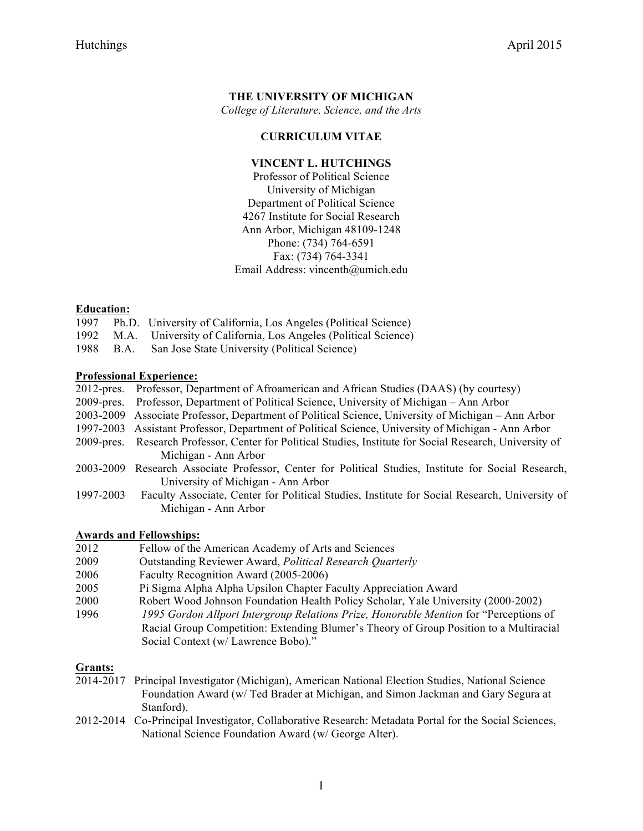# **THE UNIVERSITY OF MICHIGAN**

*College of Literature, Science, and the Arts*

### **CURRICULUM VITAE**

# **VINCENT L. HUTCHINGS**

Professor of Political Science University of Michigan Department of Political Science 4267 Institute for Social Research Ann Arbor, Michigan 48109-1248 Phone: (734) 764-6591 Fax: (734) 764-3341 Email Address: vincenth@umich.edu

#### **Education:**

- 1997 Ph.D. University of California, Los Angeles (Political Science)
- 1992 M.A. University of California, Los Angeles (Political Science)
- 1988 B.A. San Jose State University (Political Science)

#### **Professional Experience:**

|                                    | 2012-pres. Professor, Department of Afroamerican and African Studies (DAAS) (by courtesy)                 |
|------------------------------------|-----------------------------------------------------------------------------------------------------------|
|                                    | 2009-pres. Professor, Department of Political Science, University of Michigan – Ann Arbor                 |
|                                    | 2003-2009 Associate Professor, Department of Political Science, University of Michigan – Ann Arbor        |
|                                    | 1997-2003 Assistant Professor, Department of Political Science, University of Michigan - Ann Arbor        |
|                                    | 2009-pres. Research Professor, Center for Political Studies, Institute for Social Research, University of |
|                                    | Michigan - Ann Arbor                                                                                      |
| $\sim$ $\sim$ $\sim$ $\sim$ $\sim$ | $\alpha$ . $\alpha$ put to the put of $\alpha$ tip                                                        |

- 2003-2009 Research Associate Professor, Center for Political Studies, Institute for Social Research, University of Michigan - Ann Arbor
- 1997-2003 Faculty Associate, Center for Political Studies, Institute for Social Research, University of Michigan - Ann Arbor

# **Awards and Fellowships:**

- 2012 Fellow of the American Academy of Arts and Sciences
- 2009 Outstanding Reviewer Award, *Political Research Quarterly*
- 2006 Faculty Recognition Award (2005-2006)
- 2005 Pi Sigma Alpha Alpha Upsilon Chapter Faculty Appreciation Award
- 2000 Robert Wood Johnson Foundation Health Policy Scholar, Yale University (2000-2002)
- 1996 *1995 Gordon Allport Intergroup Relations Prize, Honorable Mention* for "Perceptions of Racial Group Competition: Extending Blumer's Theory of Group Position to a Multiracial Social Context (w/ Lawrence Bobo)."

# **Grants:**

- 2014-2017 Principal Investigator (Michigan), American National Election Studies, National Science Foundation Award (w/ Ted Brader at Michigan, and Simon Jackman and Gary Segura at Stanford).
- 2012-2014 Co-Principal Investigator, Collaborative Research: Metadata Portal for the Social Sciences, National Science Foundation Award (w/ George Alter).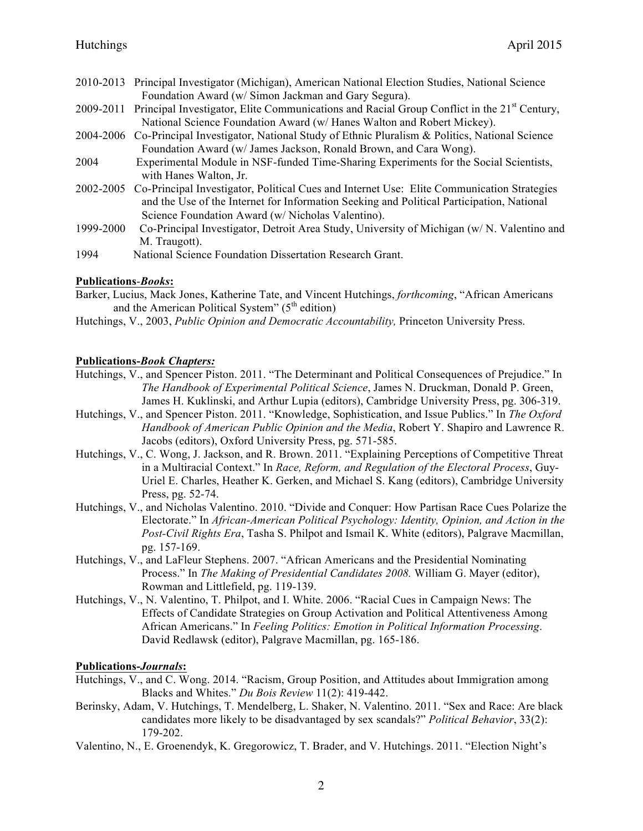- 2010-2013 Principal Investigator (Michigan), American National Election Studies, National Science Foundation Award (w/ Simon Jackman and Gary Segura).
- 2009-2011 Principal Investigator, Elite Communications and Racial Group Conflict in the  $21<sup>st</sup>$  Century, National Science Foundation Award (w/ Hanes Walton and Robert Mickey).
- 2004-2006 Co-Principal Investigator, National Study of Ethnic Pluralism & Politics, National Science Foundation Award (w/ James Jackson, Ronald Brown, and Cara Wong).
- 2004 Experimental Module in NSF-funded Time-Sharing Experiments for the Social Scientists, with Hanes Walton, Jr.
- 2002-2005 Co-Principal Investigator, Political Cues and Internet Use: Elite Communication Strategies and the Use of the Internet for Information Seeking and Political Participation, National Science Foundation Award (w/ Nicholas Valentino).
- 1999-2000 Co-Principal Investigator, Detroit Area Study, University of Michigan (w/ N. Valentino and M. Traugott).
- 1994 National Science Foundation Dissertation Research Grant.

# **Publications**-*Books***:**

Barker, Lucius, Mack Jones, Katherine Tate, and Vincent Hutchings, *forthcoming*, "African Americans and the American Political System"  $(5<sup>th</sup>$  edition)

Hutchings, V., 2003, *Public Opinion and Democratic Accountability,* Princeton University Press.

# **Publications-***Book Chapters:*

- Hutchings, V., and Spencer Piston. 2011. "The Determinant and Political Consequences of Prejudice." In *The Handbook of Experimental Political Science*, James N. Druckman, Donald P. Green, James H. Kuklinski, and Arthur Lupia (editors), Cambridge University Press, pg. 306-319.
- Hutchings, V., and Spencer Piston. 2011. "Knowledge, Sophistication, and Issue Publics." In *The Oxford Handbook of American Public Opinion and the Media*, Robert Y. Shapiro and Lawrence R. Jacobs (editors), Oxford University Press, pg. 571-585.
- Hutchings, V., C. Wong, J. Jackson, and R. Brown. 2011. "Explaining Perceptions of Competitive Threat in a Multiracial Context." In *Race, Reform, and Regulation of the Electoral Process*, Guy-Uriel E. Charles, Heather K. Gerken, and Michael S. Kang (editors), Cambridge University Press, pg. 52-74.
- Hutchings, V., and Nicholas Valentino. 2010. "Divide and Conquer: How Partisan Race Cues Polarize the Electorate." In *African-American Political Psychology: Identity, Opinion, and Action in the Post-Civil Rights Era*, Tasha S. Philpot and Ismail K. White (editors), Palgrave Macmillan, pg. 157-169.
- Hutchings, V., and LaFleur Stephens. 2007. "African Americans and the Presidential Nominating Process." In *The Making of Presidential Candidates 2008.* William G. Mayer (editor), Rowman and Littlefield, pg. 119-139.
- Hutchings, V., N. Valentino, T. Philpot, and I. White. 2006. "Racial Cues in Campaign News: The Effects of Candidate Strategies on Group Activation and Political Attentiveness Among African Americans." In *Feeling Politics: Emotion in Political Information Processing*. David Redlawsk (editor), Palgrave Macmillan, pg. 165-186.

# **Publications-***Journals***:**

- Hutchings, V., and C. Wong. 2014. "Racism, Group Position, and Attitudes about Immigration among Blacks and Whites." *Du Bois Review* 11(2): 419-442.
- Berinsky, Adam, V. Hutchings, T. Mendelberg, L. Shaker, N. Valentino. 2011. "Sex and Race: Are black candidates more likely to be disadvantaged by sex scandals?" *Political Behavior*, 33(2): 179-202.
- Valentino, N., E. Groenendyk, K. Gregorowicz, T. Brader, and V. Hutchings. 2011. "Election Night's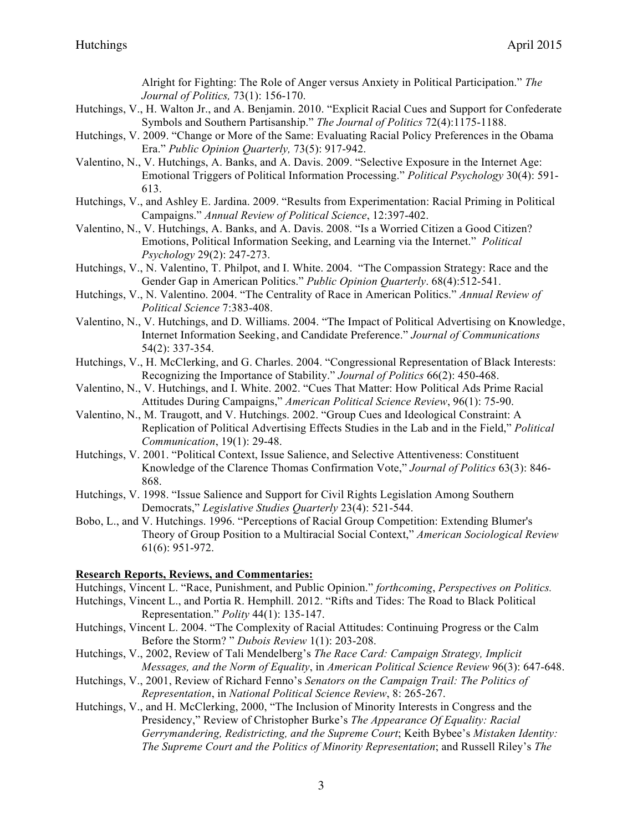Alright for Fighting: The Role of Anger versus Anxiety in Political Participation." *The Journal of Politics,* 73(1): 156-170.

- Hutchings, V., H. Walton Jr., and A. Benjamin. 2010. "Explicit Racial Cues and Support for Confederate Symbols and Southern Partisanship." *The Journal of Politics* 72(4):1175-1188.
- Hutchings, V. 2009. "Change or More of the Same: Evaluating Racial Policy Preferences in the Obama Era." *Public Opinion Quarterly,* 73(5): 917-942.
- Valentino, N., V. Hutchings, A. Banks, and A. Davis. 2009. "Selective Exposure in the Internet Age: Emotional Triggers of Political Information Processing." *Political Psychology* 30(4): 591- 613.
- Hutchings, V., and Ashley E. Jardina. 2009. "Results from Experimentation: Racial Priming in Political Campaigns." *Annual Review of Political Science*, 12:397-402.
- Valentino, N., V. Hutchings, A. Banks, and A. Davis. 2008. "Is a Worried Citizen a Good Citizen? Emotions, Political Information Seeking, and Learning via the Internet." *Political Psychology* 29(2): 247-273.
- Hutchings, V., N. Valentino, T. Philpot, and I. White. 2004. "The Compassion Strategy: Race and the Gender Gap in American Politics." *Public Opinion Quarterly*. 68(4):512-541.
- Hutchings, V., N. Valentino. 2004. "The Centrality of Race in American Politics." *Annual Review of Political Science* 7:383-408.
- Valentino, N., V. Hutchings, and D. Williams. 2004. "The Impact of Political Advertising on Knowledge, Internet Information Seeking, and Candidate Preference." *Journal of Communications*  54(2): 337-354.
- Hutchings, V., H. McClerking, and G. Charles. 2004. "Congressional Representation of Black Interests: Recognizing the Importance of Stability." *Journal of Politics* 66(2): 450-468.
- Valentino, N., V. Hutchings, and I. White. 2002. "Cues That Matter: How Political Ads Prime Racial Attitudes During Campaigns," *American Political Science Review*, 96(1): 75-90.
- Valentino, N., M. Traugott, and V. Hutchings. 2002. "Group Cues and Ideological Constraint: A Replication of Political Advertising Effects Studies in the Lab and in the Field," *Political Communication*, 19(1): 29-48.
- Hutchings, V. 2001. "Political Context, Issue Salience, and Selective Attentiveness: Constituent Knowledge of the Clarence Thomas Confirmation Vote," *Journal of Politics* 63(3): 846- 868.
- Hutchings, V. 1998. "Issue Salience and Support for Civil Rights Legislation Among Southern Democrats," *Legislative Studies Quarterly* 23(4): 521-544.
- Bobo, L., and V. Hutchings. 1996. "Perceptions of Racial Group Competition: Extending Blumer's Theory of Group Position to a Multiracial Social Context," *American Sociological Review* 61(6): 951-972.

# **Research Reports, Reviews, and Commentaries:**

- Hutchings, Vincent L. "Race, Punishment, and Public Opinion." *forthcoming*, *Perspectives on Politics.*
- Hutchings, Vincent L., and Portia R. Hemphill. 2012. "Rifts and Tides: The Road to Black Political Representation." *Polity* 44(1): 135-147.
- Hutchings, Vincent L. 2004. "The Complexity of Racial Attitudes: Continuing Progress or the Calm Before the Storm? " *Dubois Review* 1(1): 203-208.
- Hutchings, V., 2002, Review of Tali Mendelberg's *The Race Card: Campaign Strategy, Implicit Messages, and the Norm of Equality*, in *American Political Science Review* 96(3): 647-648.
- Hutchings, V., 2001, Review of Richard Fenno's *Senators on the Campaign Trail: The Politics of Representation*, in *National Political Science Review*, 8: 265-267.
- Hutchings, V., and H. McClerking, 2000, "The Inclusion of Minority Interests in Congress and the Presidency," Review of Christopher Burke's *The Appearance Of Equality: Racial Gerrymandering, Redistricting, and the Supreme Court*; Keith Bybee's *Mistaken Identity: The Supreme Court and the Politics of Minority Representation*; and Russell Riley's *The*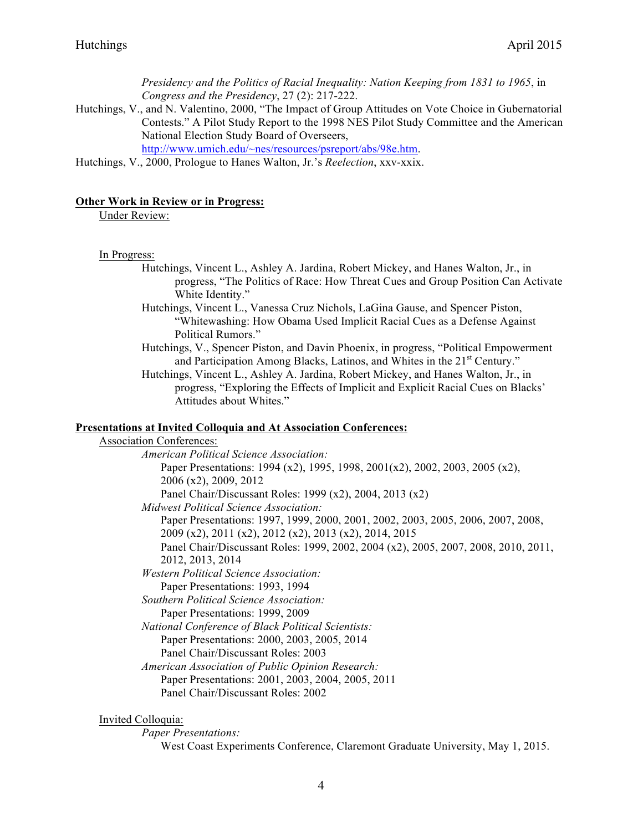*Presidency and the Politics of Racial Inequality: Nation Keeping from 1831 to 1965*, in *Congress and the Presidency*, 27 (2): 217-222.

Hutchings, V., and N. Valentino, 2000, "The Impact of Group Attitudes on Vote Choice in Gubernatorial Contests." A Pilot Study Report to the 1998 NES Pilot Study Committee and the American National Election Study Board of Overseers,

http://www.umich.edu/~nes/resources/psreport/abs/98e.htm.

Hutchings, V., 2000, Prologue to Hanes Walton, Jr.'s *Reelection*, xxv-xxix.

#### **Other Work in Review or in Progress:**

Under Review:

#### In Progress:

- Hutchings, Vincent L., Ashley A. Jardina, Robert Mickey, and Hanes Walton, Jr., in progress, "The Politics of Race: How Threat Cues and Group Position Can Activate White Identity."
- Hutchings, Vincent L., Vanessa Cruz Nichols, LaGina Gause, and Spencer Piston, "Whitewashing: How Obama Used Implicit Racial Cues as a Defense Against Political Rumors."
- Hutchings, V., Spencer Piston, and Davin Phoenix, in progress, "Political Empowerment and Participation Among Blacks, Latinos, and Whites in the 21<sup>st</sup> Century."
- Hutchings, Vincent L., Ashley A. Jardina, Robert Mickey, and Hanes Walton, Jr., in progress, "Exploring the Effects of Implicit and Explicit Racial Cues on Blacks' Attitudes about Whites."

### **Presentations at Invited Colloquia and At Association Conferences:**

Association Conferences: *American Political Science Association:* Paper Presentations: 1994 (x2), 1995, 1998, 2001(x2), 2002, 2003, 2005 (x2), 2006 (x2), 2009, 2012 Panel Chair/Discussant Roles: 1999 (x2), 2004, 2013 (x2) *Midwest Political Science Association:* Paper Presentations: 1997, 1999, 2000, 2001, 2002, 2003, 2005, 2006, 2007, 2008, 2009 (x2), 2011 (x2), 2012 (x2), 2013 (x2), 2014, 2015 Panel Chair/Discussant Roles: 1999, 2002, 2004 (x2), 2005, 2007, 2008, 2010, 2011, 2012, 2013, 2014 *Western Political Science Association:* Paper Presentations: 1993, 1994 *Southern Political Science Association:* Paper Presentations: 1999, 2009 *National Conference of Black Political Scientists:* Paper Presentations: 2000, 2003, 2005, 2014 Panel Chair/Discussant Roles: 2003 *American Association of Public Opinion Research:* Paper Presentations: 2001, 2003, 2004, 2005, 2011 Panel Chair/Discussant Roles: 2002

#### Invited Colloquia:

*Paper Presentations:* West Coast Experiments Conference, Claremont Graduate University, May 1, 2015.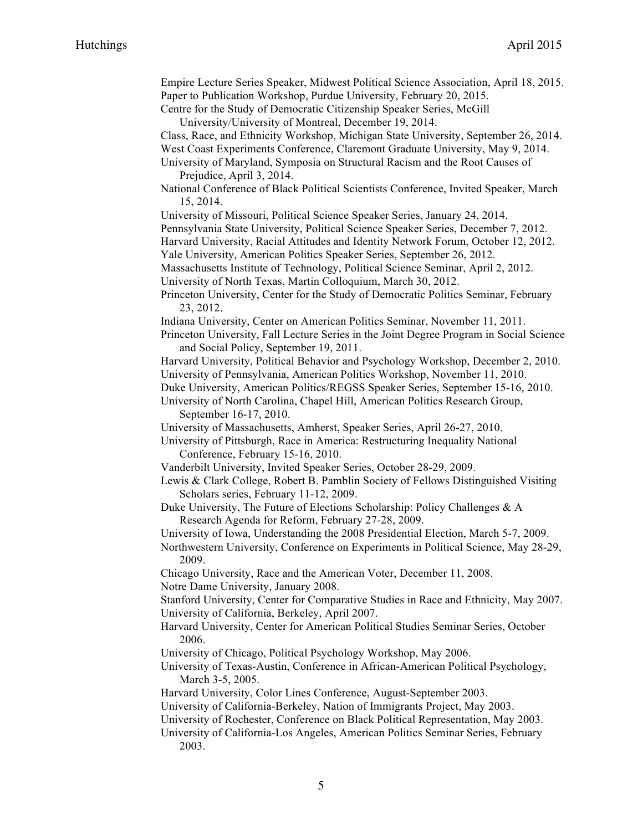| Empire Lecture Series Speaker, Midwest Political Science Association, April 18, 2015.<br>Paper to Publication Workshop, Purdue University, February 20, 2015.            |  |  |  |
|--------------------------------------------------------------------------------------------------------------------------------------------------------------------------|--|--|--|
| Centre for the Study of Democratic Citizenship Speaker Series, McGill<br>University/University of Montreal, December 19, 2014.                                           |  |  |  |
| Class, Race, and Ethnicity Workshop, Michigan State University, September 26, 2014.                                                                                      |  |  |  |
| West Coast Experiments Conference, Claremont Graduate University, May 9, 2014.                                                                                           |  |  |  |
| University of Maryland, Symposia on Structural Racism and the Root Causes of<br>Prejudice, April 3, 2014.                                                                |  |  |  |
| National Conference of Black Political Scientists Conference, Invited Speaker, March<br>15, 2014.                                                                        |  |  |  |
| University of Missouri, Political Science Speaker Series, January 24, 2014.                                                                                              |  |  |  |
| Pennsylvania State University, Political Science Speaker Series, December 7, 2012.<br>Harvard University, Racial Attitudes and Identity Network Forum, October 12, 2012. |  |  |  |
| Yale University, American Politics Speaker Series, September 26, 2012.                                                                                                   |  |  |  |
| Massachusetts Institute of Technology, Political Science Seminar, April 2, 2012.                                                                                         |  |  |  |
| University of North Texas, Martin Colloquium, March 30, 2012.                                                                                                            |  |  |  |
| Princeton University, Center for the Study of Democratic Politics Seminar, February<br>23, 2012.                                                                         |  |  |  |
| Indiana University, Center on American Politics Seminar, November 11, 2011.                                                                                              |  |  |  |
| Princeton University, Fall Lecture Series in the Joint Degree Program in Social Science<br>and Social Policy, September 19, 2011.                                        |  |  |  |
| Harvard University, Political Behavior and Psychology Workshop, December 2, 2010.                                                                                        |  |  |  |
| University of Pennsylvania, American Politics Workshop, November 11, 2010.                                                                                               |  |  |  |
| Duke University, American Politics/REGSS Speaker Series, September 15-16, 2010.<br>University of North Carolina, Chapel Hill, American Politics Research Group,          |  |  |  |
| September 16-17, 2010.                                                                                                                                                   |  |  |  |
| University of Massachusetts, Amherst, Speaker Series, April 26-27, 2010.                                                                                                 |  |  |  |
| University of Pittsburgh, Race in America: Restructuring Inequality National                                                                                             |  |  |  |
| Conference, February 15-16, 2010.                                                                                                                                        |  |  |  |
| Vanderbilt University, Invited Speaker Series, October 28-29, 2009.                                                                                                      |  |  |  |
| Lewis & Clark College, Robert B. Pamblin Society of Fellows Distinguished Visiting<br>Scholars series, February 11-12, 2009.                                             |  |  |  |
| Duke University, The Future of Elections Scholarship: Policy Challenges & A<br>Research Agenda for Reform, February 27-28, 2009.                                         |  |  |  |
| University of Iowa, Understanding the 2008 Presidential Election, March 5-7, 2009.                                                                                       |  |  |  |
| Northwestern University, Conference on Experiments in Political Science, May 28-29,<br>2009.                                                                             |  |  |  |
| Chicago University, Race and the American Voter, December 11, 2008.                                                                                                      |  |  |  |
| Notre Dame University, January 2008.                                                                                                                                     |  |  |  |
| Stanford University, Center for Comparative Studies in Race and Ethnicity, May 2007.                                                                                     |  |  |  |
| University of California, Berkeley, April 2007.                                                                                                                          |  |  |  |
| Harvard University, Center for American Political Studies Seminar Series, October<br>2006.                                                                               |  |  |  |
| University of Chicago, Political Psychology Workshop, May 2006.                                                                                                          |  |  |  |
| University of Texas-Austin, Conference in African-American Political Psychology,                                                                                         |  |  |  |
| March 3-5, 2005.<br>Harvard University, Color Lines Conference, August-September 2003.                                                                                   |  |  |  |
| University of California-Berkeley, Nation of Immigrants Project, May 2003.                                                                                               |  |  |  |
| University of Rochester, Conference on Black Political Representation, May 2003.                                                                                         |  |  |  |
| University of California-Los Angeles, American Politics Seminar Series, February                                                                                         |  |  |  |
| 2003.                                                                                                                                                                    |  |  |  |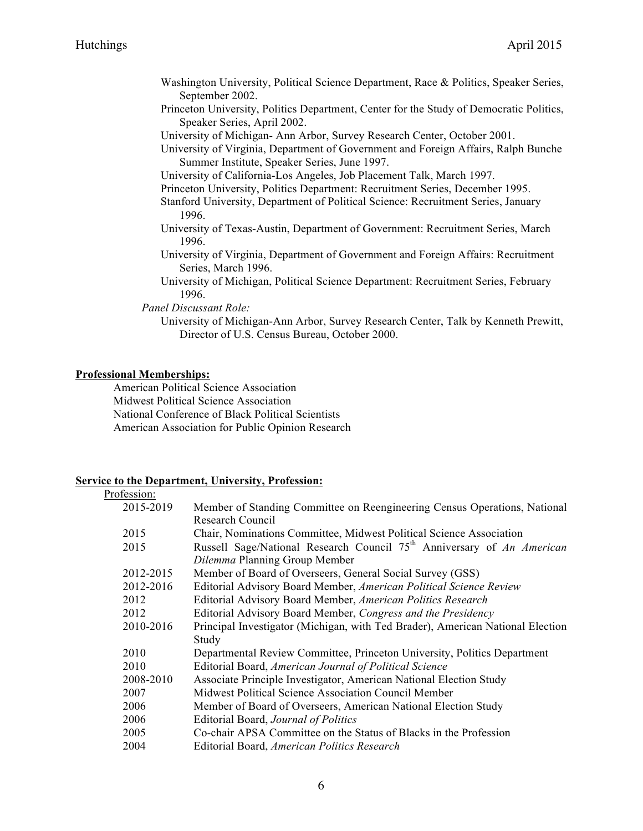- Washington University, Political Science Department, Race & Politics, Speaker Series, September 2002.
- Princeton University, Politics Department, Center for the Study of Democratic Politics, Speaker Series, April 2002.
- University of Michigan- Ann Arbor, Survey Research Center, October 2001.
- University of Virginia, Department of Government and Foreign Affairs, Ralph Bunche Summer Institute, Speaker Series, June 1997.
- University of California-Los Angeles, Job Placement Talk, March 1997.
- Princeton University, Politics Department: Recruitment Series, December 1995.
- Stanford University, Department of Political Science: Recruitment Series, January 1996.
- University of Texas-Austin, Department of Government: Recruitment Series, March 1996.
- University of Virginia, Department of Government and Foreign Affairs: Recruitment Series, March 1996.
- University of Michigan, Political Science Department: Recruitment Series, February 1996.
- *Panel Discussant Role:*
	- University of Michigan-Ann Arbor, Survey Research Center, Talk by Kenneth Prewitt, Director of U.S. Census Bureau, October 2000.

#### **Professional Memberships:**

American Political Science Association Midwest Political Science Association National Conference of Black Political Scientists American Association for Public Opinion Research

#### **Service to the Department, University, Profession:**

| Profession: |                                                                                    |
|-------------|------------------------------------------------------------------------------------|
| 2015-2019   | Member of Standing Committee on Reengineering Census Operations, National          |
|             | Research Council                                                                   |
| 2015        | Chair, Nominations Committee, Midwest Political Science Association                |
| 2015        | Russell Sage/National Research Council 75 <sup>th</sup> Anniversary of An American |
|             | Dilemma Planning Group Member                                                      |
| 2012-2015   | Member of Board of Overseers, General Social Survey (GSS)                          |
| 2012-2016   | Editorial Advisory Board Member, American Political Science Review                 |
| 2012        | Editorial Advisory Board Member, American Politics Research                        |
| 2012        | Editorial Advisory Board Member, Congress and the Presidency                       |
| 2010-2016   | Principal Investigator (Michigan, with Ted Brader), American National Election     |
|             | Study                                                                              |
| 2010        | Departmental Review Committee, Princeton University, Politics Department           |
| 2010        | Editorial Board, American Journal of Political Science                             |
| 2008-2010   | Associate Principle Investigator, American National Election Study                 |
| 2007        | Midwest Political Science Association Council Member                               |
| 2006        | Member of Board of Overseers, American National Election Study                     |
| 2006        | Editorial Board, Journal of Politics                                               |
| 2005        | Co-chair APSA Committee on the Status of Blacks in the Profession                  |
| 2004        | Editorial Board, American Politics Research                                        |
|             |                                                                                    |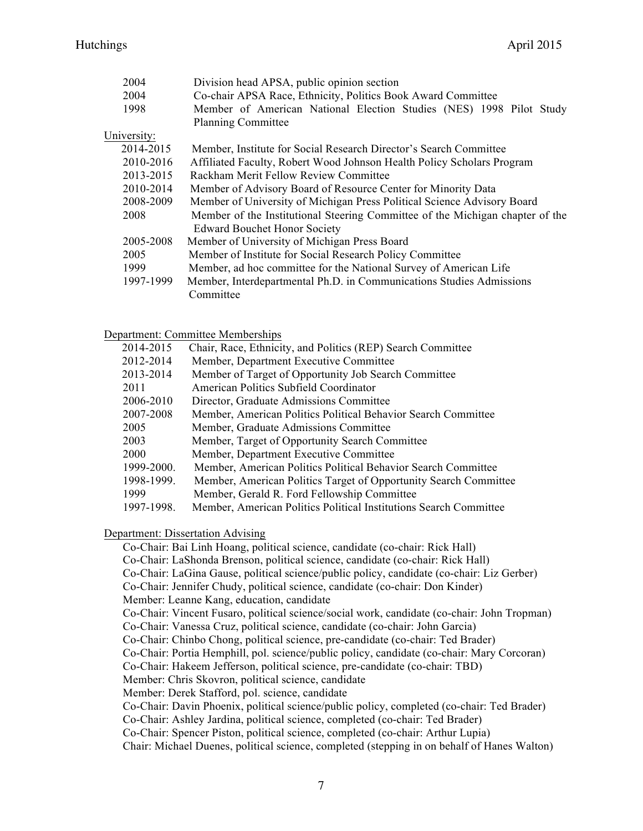| 2004        | Division head APSA, public opinion section                                    |
|-------------|-------------------------------------------------------------------------------|
| 2004        | Co-chair APSA Race, Ethnicity, Politics Book Award Committee                  |
| 1998        | Member of American National Election Studies (NES) 1998 Pilot Study           |
|             | <b>Planning Committee</b>                                                     |
| University: |                                                                               |
| 2014-2015   | Member, Institute for Social Research Director's Search Committee             |
| 2010-2016   | Affiliated Faculty, Robert Wood Johnson Health Policy Scholars Program        |
| 2013-2015   | Rackham Merit Fellow Review Committee                                         |
| 2010-2014   | Member of Advisory Board of Resource Center for Minority Data                 |
| 2008-2009   | Member of University of Michigan Press Political Science Advisory Board       |
| 2008        | Member of the Institutional Steering Committee of the Michigan chapter of the |
|             | <b>Edward Bouchet Honor Society</b>                                           |
| 2005-2008   | Member of University of Michigan Press Board                                  |
| 2005        | Member of Institute for Social Research Policy Committee                      |
| 1999        | Member, ad hoc committee for the National Survey of American Life             |
| 1997-1999   | Member, Interdepartmental Ph.D. in Communications Studies Admissions          |
|             | Committee                                                                     |

Department: Committee Memberships

| 2014-2015  | Chair, Race, Ethnicity, and Politics (REP) Search Committee       |
|------------|-------------------------------------------------------------------|
| 2012-2014  | Member, Department Executive Committee                            |
| 2013-2014  | Member of Target of Opportunity Job Search Committee              |
| 2011       | American Politics Subfield Coordinator                            |
| 2006-2010  | Director, Graduate Admissions Committee                           |
| 2007-2008  | Member, American Politics Political Behavior Search Committee     |
| 2005       | Member, Graduate Admissions Committee                             |
| 2003       | Member, Target of Opportunity Search Committee                    |
| 2000       | Member, Department Executive Committee                            |
| 1999-2000. | Member, American Politics Political Behavior Search Committee     |
| 1998-1999. | Member, American Politics Target of Opportunity Search Committee  |
| 1999       | Member, Gerald R. Ford Fellowship Committee                       |
| 1997-1998. | Member, American Politics Political Institutions Search Committee |
|            |                                                                   |

#### Department: Dissertation Advising

Co-Chair: Bai Linh Hoang, political science, candidate (co-chair: Rick Hall) Co-Chair: LaShonda Brenson, political science, candidate (co-chair: Rick Hall) Co-Chair: LaGina Gause, political science/public policy, candidate (co-chair: Liz Gerber) Co-Chair: Jennifer Chudy, political science, candidate (co-chair: Don Kinder) Member: Leanne Kang, education, candidate Co-Chair: Vincent Fusaro, political science/social work, candidate (co-chair: John Tropman) Co-Chair: Vanessa Cruz, political science, candidate (co-chair: John Garcia) Co-Chair: Chinbo Chong, political science, pre-candidate (co-chair: Ted Brader) Co-Chair: Portia Hemphill, pol. science/public policy, candidate (co-chair: Mary Corcoran) Co-Chair: Hakeem Jefferson, political science, pre-candidate (co-chair: TBD) Member: Chris Skovron, political science, candidate Member: Derek Stafford, pol. science, candidate Co-Chair: Davin Phoenix, political science/public policy, completed (co-chair: Ted Brader) Co-Chair: Ashley Jardina, political science, completed (co-chair: Ted Brader) Co-Chair: Spencer Piston, political science, completed (co-chair: Arthur Lupia) Chair: Michael Duenes, political science, completed (stepping in on behalf of Hanes Walton)